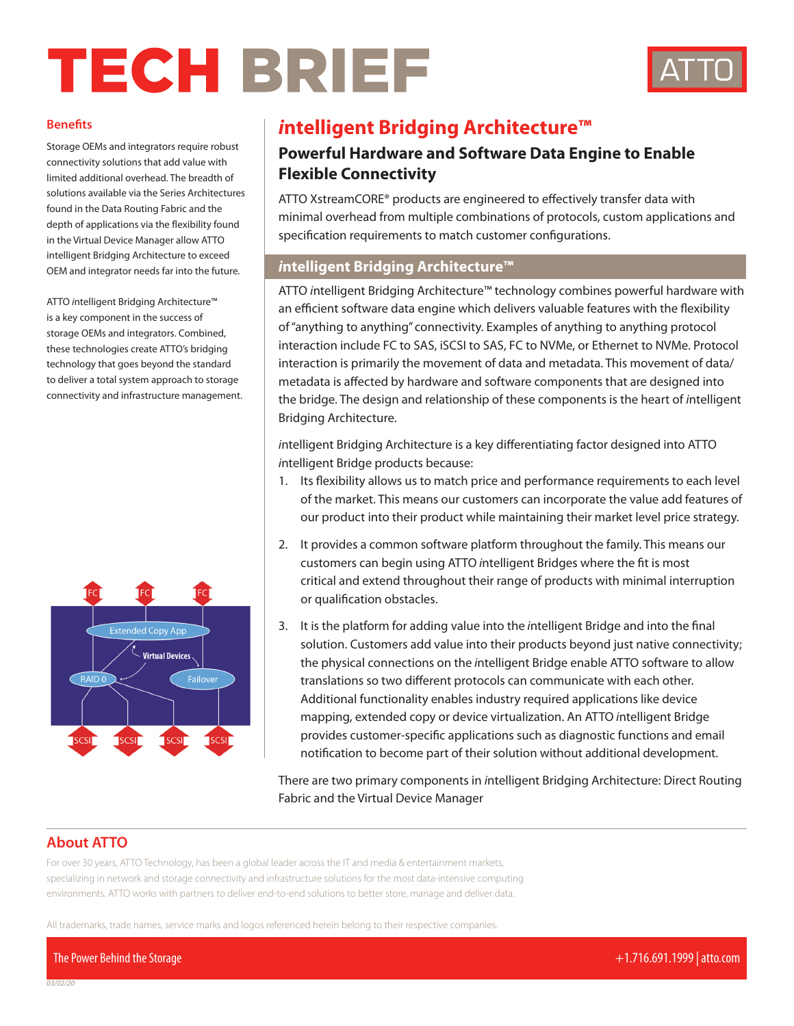# TECH BRIEF



#### **Benefits**

Storage OEMs and integrators require robust connectivity solutions that add value with limited additional overhead. The breadth of solutions available via the Series Architectures found in the Data Routing Fabric and the depth of applications via the flexibility found in the Virtual Device Manager allow ATTO intelligent Bridging Architecture to exceed OEM and integrator needs far into the future.

ATTO *i*ntelligent Bridging Architecture™ is a key component in the success of storage OEMs and integrators. Combined, these technologies create ATTO's bridging technology that goes beyond the standard to deliver a total system approach to storage connectivity and infrastructure management.



# *i***ntelligent Bridging Architecture™**

# **Powerful Hardware and Software Data Engine to Enable Flexible Connectivity**

ATTO XstreamCORE® products are engineered to effectively transfer data with minimal overhead from multiple combinations of protocols, custom applications and specification requirements to match customer configurations.

## *i***ntelligent Bridging Architecture™**

ATTO *i*ntelligent Bridging Architecture™ technology combines powerful hardware with an efficient software data engine which delivers valuable features with the flexibility of "anything to anything" connectivity. Examples of anything to anything protocol interaction include FC to SAS, iSCSI to SAS, FC to NVMe, or Ethernet to NVMe. Protocol interaction is primarily the movement of data and metadata. This movement of data/ metadata is affected by hardware and software components that are designed into the bridge. The design and relationship of these components is the heart of *i*ntelligent Bridging Architecture.

*i*ntelligent Bridging Architecture is a key differentiating factor designed into ATTO *i*ntelligent Bridge products because:

- 1. Its flexibility allows us to match price and performance requirements to each level of the market. This means our customers can incorporate the value add features of our product into their product while maintaining their market level price strategy.
- 2. It provides a common software platform throughout the family. This means our customers can begin using ATTO *i*ntelligent Bridges where the fit is most critical and extend throughout their range of products with minimal interruption or qualification obstacles.
- 3. It is the platform for adding value into the *i*ntelligent Bridge and into the final solution. Customers add value into their products beyond just native connectivity; the physical connections on the *i*ntelligent Bridge enable ATTO software to allow translations so two different protocols can communicate with each other. Additional functionality enables industry required applications like device mapping, extended copy or device virtualization. An ATTO *i*ntelligent Bridge provides customer-specific applications such as diagnostic functions and email notification to become part of their solution without additional development.

There are two primary components in *i*ntelligent Bridging Architecture: Direct Routing Fabric and the Virtual Device Manager

# **About ATTO**

For over 30 years, ATTO Technology, has been a global leader across the IT and media & entertainment markets, specializing in network and storage connectivity and infrastructure solutions for the most data-intensive computing environments. ATTO works with partners to deliver end-to-end solutions to better store, manage and deliver data.

All trademarks, trade names, service marks and logos referenced herein belong to their respective companies.